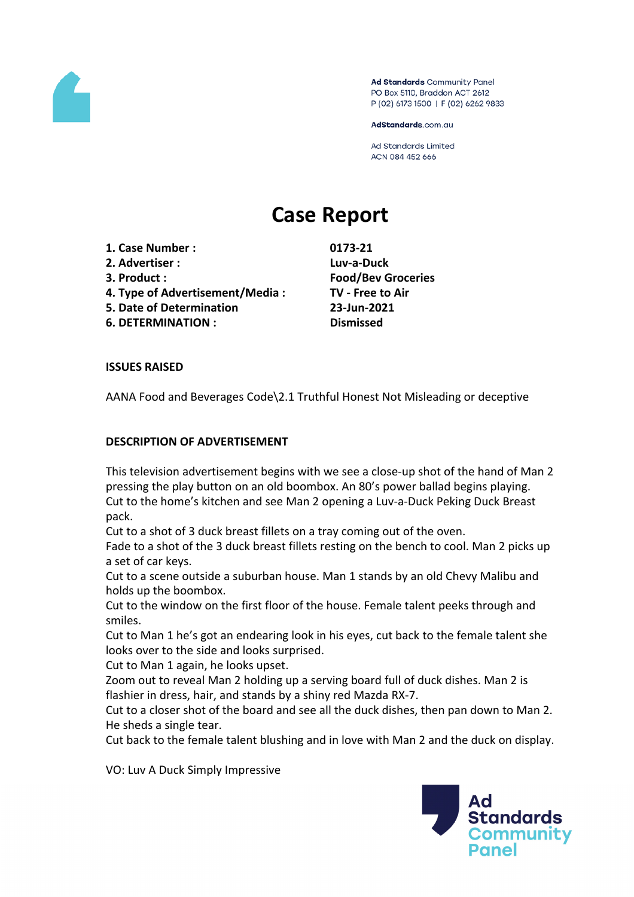

Ad Standards Community Panel PO Box 5110, Braddon ACT 2612 P (02) 6173 1500 | F (02) 6262 9833

AdStandards.com.au

**Ad Standards Limited** ACN 084 452 666

# **Case Report**

- **1. Case Number : 0173-21**
- **2. Advertiser : Luv-a-Duck**
- 
- **4. Type of Advertisement/Media : TV - Free to Air**
- **5. Date of Determination 23-Jun-2021**
- **6. DETERMINATION : Dismissed**

**3. Product : Food/Bev Groceries**

# **ISSUES RAISED**

AANA Food and Beverages Code\2.1 Truthful Honest Not Misleading or deceptive

## **DESCRIPTION OF ADVERTISEMENT**

This television advertisement begins with we see a close-up shot of the hand of Man 2 pressing the play button on an old boombox. An 80's power ballad begins playing. Cut to the home's kitchen and see Man 2 opening a Luv-a-Duck Peking Duck Breast pack.

Cut to a shot of 3 duck breast fillets on a tray coming out of the oven.

Fade to a shot of the 3 duck breast fillets resting on the bench to cool. Man 2 picks up a set of car keys.

Cut to a scene outside a suburban house. Man 1 stands by an old Chevy Malibu and holds up the boombox.

Cut to the window on the first floor of the house. Female talent peeks through and smiles.

Cut to Man 1 he's got an endearing look in his eyes, cut back to the female talent she looks over to the side and looks surprised.

Cut to Man 1 again, he looks upset.

Zoom out to reveal Man 2 holding up a serving board full of duck dishes. Man 2 is flashier in dress, hair, and stands by a shiny red Mazda RX-7.

Cut to a closer shot of the board and see all the duck dishes, then pan down to Man 2. He sheds a single tear.

Cut back to the female talent blushing and in love with Man 2 and the duck on display.

VO: Luv A Duck Simply Impressive

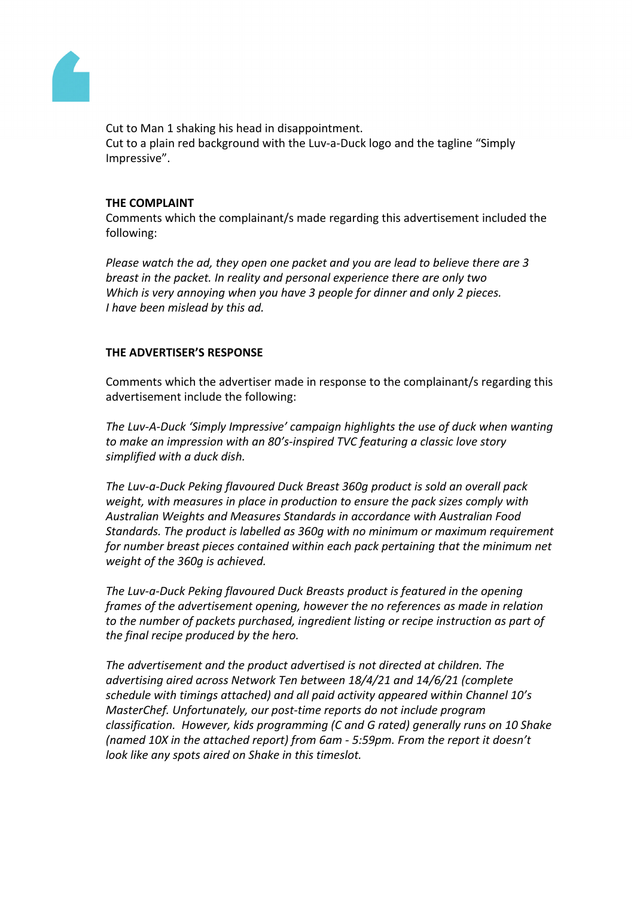

Cut to Man 1 shaking his head in disappointment. Cut to a plain red background with the Luv-a-Duck logo and the tagline "Simply Impressive".

## **THE COMPLAINT**

Comments which the complainant/s made regarding this advertisement included the following:

*Please watch the ad, they open one packet and you are lead to believe there are 3 breast in the packet. In reality and personal experience there are only two Which is very annoying when you have 3 people for dinner and only 2 pieces. I have been mislead by this ad.*

## **THE ADVERTISER'S RESPONSE**

Comments which the advertiser made in response to the complainant/s regarding this advertisement include the following:

*The Luv-A-Duck 'Simply Impressive' campaign highlights the use of duck when wanting to make an impression with an 80's-inspired TVC featuring a classic love story simplified with a duck dish.*

*The Luv-a-Duck Peking flavoured Duck Breast 360g product is sold an overall pack weight, with measures in place in production to ensure the pack sizes comply with Australian Weights and Measures Standards in accordance with Australian Food Standards. The product is labelled as 360g with no minimum or maximum requirement for number breast pieces contained within each pack pertaining that the minimum net weight of the 360g is achieved.*

*The Luv-a-Duck Peking flavoured Duck Breasts product is featured in the opening frames of the advertisement opening, however the no references as made in relation to the number of packets purchased, ingredient listing or recipe instruction as part of the final recipe produced by the hero.*

*The advertisement and the product advertised is not directed at children. The advertising aired across Network Ten between 18/4/21 and 14/6/21 (complete schedule with timings attached) and all paid activity appeared within Channel 10's MasterChef. Unfortunately, our post-time reports do not include program classification. However, kids programming (C and G rated) generally runs on 10 Shake (named 10X in the attached report) from 6am - 5:59pm. From the report it doesn't look like any spots aired on Shake in this timeslot.*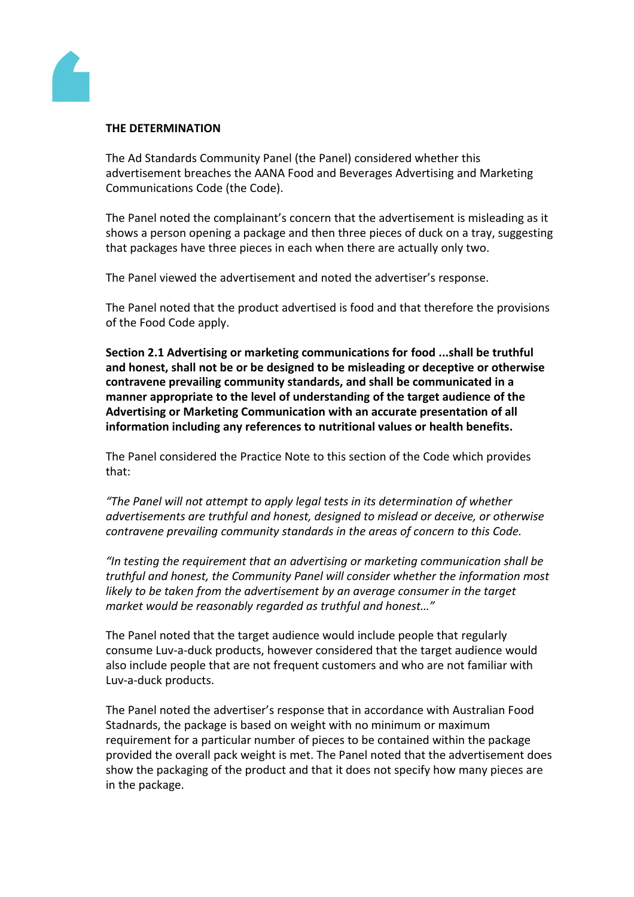

#### **THE DETERMINATION**

The Ad Standards Community Panel (the Panel) considered whether this advertisement breaches the AANA Food and Beverages Advertising and Marketing Communications Code (the Code).

The Panel noted the complainant's concern that the advertisement is misleading as it shows a person opening a package and then three pieces of duck on a tray, suggesting that packages have three pieces in each when there are actually only two.

The Panel viewed the advertisement and noted the advertiser's response.

The Panel noted that the product advertised is food and that therefore the provisions of the Food Code apply.

**Section 2.1 Advertising or marketing communications for food ...shall be truthful and honest, shall not be or be designed to be misleading or deceptive or otherwise contravene prevailing community standards, and shall be communicated in a manner appropriate to the level of understanding of the target audience of the Advertising or Marketing Communication with an accurate presentation of all information including any references to nutritional values or health benefits.**

The Panel considered the Practice Note to this section of the Code which provides that:

*"The Panel will not attempt to apply legal tests in its determination of whether advertisements are truthful and honest, designed to mislead or deceive, or otherwise contravene prevailing community standards in the areas of concern to this Code.*

*"In testing the requirement that an advertising or marketing communication shall be truthful and honest, the Community Panel will consider whether the information most likely to be taken from the advertisement by an average consumer in the target market would be reasonably regarded as truthful and honest…"*

The Panel noted that the target audience would include people that regularly consume Luv-a-duck products, however considered that the target audience would also include people that are not frequent customers and who are not familiar with Luv-a-duck products.

The Panel noted the advertiser's response that in accordance with Australian Food Stadnards, the package is based on weight with no minimum or maximum requirement for a particular number of pieces to be contained within the package provided the overall pack weight is met. The Panel noted that the advertisement does show the packaging of the product and that it does not specify how many pieces are in the package.